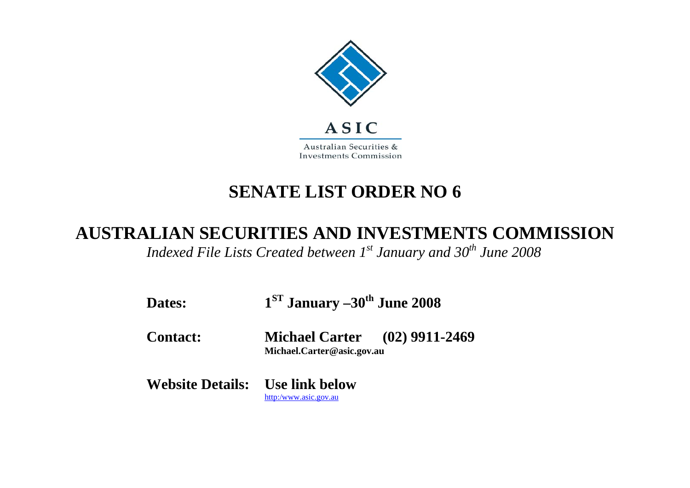

# **SENATE LIST ORDER NO 6**

## **AUSTRALIAN SECURITIES AND INVESTMENTS COMMISSION**

*Indexed File Lists Created between 1st January and 30<sup>th</sup> June 2008* 

| Dates:                                 | $1ST$ January $-30th$ June 2008                                    |  |
|----------------------------------------|--------------------------------------------------------------------|--|
| <b>Contact:</b>                        | <b>Michael Carter</b> (02) 9911-2469<br>Michael.Carter@asic.gov.au |  |
| <b>Website Details:</b> Use link below | http:/www.asic.gov.au                                              |  |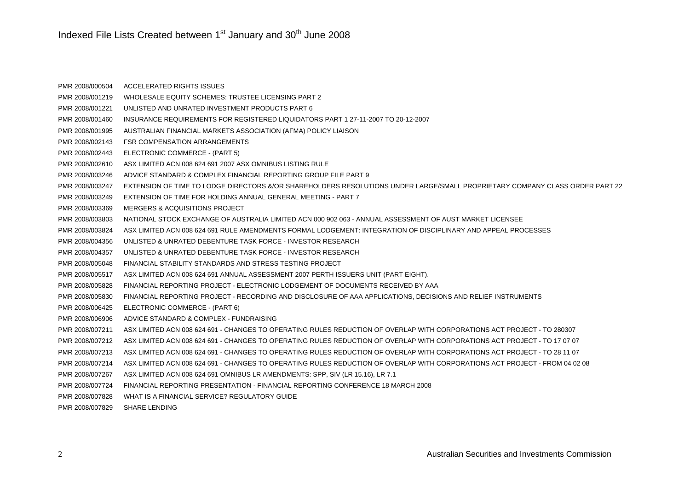### Indexed File Lists Created between  $1<sup>st</sup>$  January and  $30<sup>th</sup>$  June 2008

| PMR 2008/000504 | ACCELERATED RIGHTS ISSUES                                                                                                    |
|-----------------|------------------------------------------------------------------------------------------------------------------------------|
| PMR 2008/001219 | WHOLESALE EQUITY SCHEMES: TRUSTEE LICENSING PART 2                                                                           |
| PMR 2008/001221 | UNLISTED AND UNRATED INVESTMENT PRODUCTS PART 6                                                                              |
| PMR 2008/001460 | INSURANCE REQUIREMENTS FOR REGISTERED LIQUIDATORS PART 1 27-11-2007 TO 20-12-2007                                            |
| PMR 2008/001995 | AUSTRALIAN FINANCIAL MARKETS ASSOCIATION (AFMA) POLICY LIAISON                                                               |
| PMR 2008/002143 | <b>FSR COMPENSATION ARRANGEMENTS</b>                                                                                         |
| PMR 2008/002443 | ELECTRONIC COMMERCE - (PART 5)                                                                                               |
| PMR 2008/002610 | ASX LIMITED ACN 008 624 691 2007 ASX OMNIBUS LISTING RULE                                                                    |
| PMR 2008/003246 | ADVICE STANDARD & COMPLEX FINANCIAL REPORTING GROUP FILE PART 9                                                              |
| PMR 2008/003247 | EXTENSION OF TIME TO LODGE DIRECTORS &/OR SHAREHOLDERS RESOLUTIONS UNDER LARGE/SMALL PROPRIETARY COMPANY CLASS ORDER PART 22 |
| PMR 2008/003249 | EXTENSION OF TIME FOR HOLDING ANNUAL GENERAL MEETING - PART 7                                                                |
| PMR 2008/003369 | MERGERS & ACQUISITIONS PROJECT                                                                                               |
| PMR 2008/003803 | NATIONAL STOCK EXCHANGE OF AUSTRALIA LIMITED ACN 000 902 063 - ANNUAL ASSESSMENT OF AUST MARKET LICENSEE                     |
| PMR 2008/003824 | ASX LIMITED ACN 008 624 691 RULE AMENDMENTS FORMAL LODGEMENT: INTEGRATION OF DISCIPLINARY AND APPEAL PROCESSES               |
| PMR 2008/004356 | UNLISTED & UNRATED DEBENTURE TASK FORCE - INVESTOR RESEARCH                                                                  |
| PMR 2008/004357 | UNLISTED & UNRATED DEBENTURE TASK FORCE - INVESTOR RESEARCH                                                                  |
| PMR 2008/005048 | FINANCIAL STABILITY STANDARDS AND STRESS TESTING PROJECT                                                                     |
| PMR 2008/005517 | ASX LIMITED ACN 008 624 691 ANNUAL ASSESSMENT 2007 PERTH ISSUERS UNIT (PART EIGHT).                                          |
| PMR 2008/005828 | FINANCIAL REPORTING PROJECT - ELECTRONIC LODGEMENT OF DOCUMENTS RECEIVED BY AAA                                              |
| PMR 2008/005830 | FINANCIAL REPORTING PROJECT - RECORDING AND DISCLOSURE OF AAA APPLICATIONS, DECISIONS AND RELIEF INSTRUMENTS                 |
| PMR 2008/006425 | ELECTRONIC COMMERCE - (PART 6)                                                                                               |
| PMR 2008/006906 | ADVICE STANDARD & COMPLEX - FUNDRAISING                                                                                      |
| PMR 2008/007211 | ASX LIMITED ACN 008 624 691 - CHANGES TO OPERATING RULES REDUCTION OF OVERLAP WITH CORPORATIONS ACT PROJECT - TO 280307      |
| PMR 2008/007212 | ASX LIMITED ACN 008 624 691 - CHANGES TO OPERATING RULES REDUCTION OF OVERLAP WITH CORPORATIONS ACT PROJECT - TO 17 07 07    |
| PMR 2008/007213 | ASX LIMITED ACN 008 624 691 - CHANGES TO OPERATING RULES REDUCTION OF OVERLAP WITH CORPORATIONS ACT PROJECT - TO 28 11 07    |
| PMR 2008/007214 | ASX LIMITED ACN 008 624 691 - CHANGES TO OPERATING RULES REDUCTION OF OVERLAP WITH CORPORATIONS ACT PROJECT - FROM 04 02 08  |
| PMR 2008/007267 | ASX LIMITED ACN 008 624 691 OMNIBUS LR AMENDMENTS: SPP, SIV (LR 15.16), LR 7.1                                               |
| PMR 2008/007724 | FINANCIAL REPORTING PRESENTATION - FINANCIAL REPORTING CONFERENCE 18 MARCH 2008                                              |
| PMR 2008/007828 | WHAT IS A FINANCIAL SERVICE? REGULATORY GUIDE                                                                                |
| PMR 2008/007829 | <b>SHARE LENDING</b>                                                                                                         |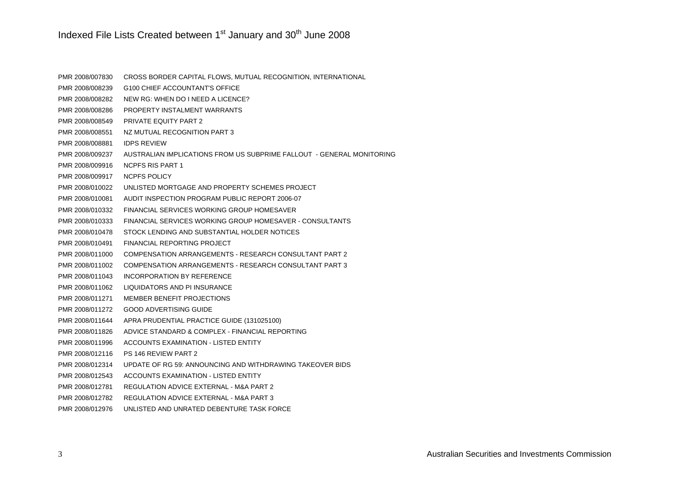### Indexed File Lists Created between  $1<sup>st</sup>$  January and  $30<sup>th</sup>$  June 2008

| PMR 2008/007830 | CROSS BORDER CAPITAL FLOWS, MUTUAL RECOGNITION, INTERNATIONAL         |
|-----------------|-----------------------------------------------------------------------|
| PMR 2008/008239 | G100 CHIEF ACCOUNTANT'S OFFICE                                        |
| PMR 2008/008282 | NEW RG: WHEN DO I NEED A LICENCE?                                     |
| PMR 2008/008286 | PROPERTY INSTALMENT WARRANTS                                          |
| PMR 2008/008549 | <b>PRIVATE EQUITY PART 2</b>                                          |
| PMR 2008/008551 | NZ MUTUAL RECOGNITION PART 3                                          |
| PMR 2008/008881 | <b>IDPS REVIEW</b>                                                    |
| PMR 2008/009237 | AUSTRALIAN IMPLICATIONS FROM US SUBPRIME FALLOUT - GENERAL MONITORING |
| PMR 2008/009916 | <b>NCPFS RIS PART 1</b>                                               |
| PMR 2008/009917 | <b>NCPFS POLICY</b>                                                   |
| PMR 2008/010022 | UNLISTED MORTGAGE AND PROPERTY SCHEMES PROJECT                        |
| PMR 2008/010081 | AUDIT INSPECTION PROGRAM PUBLIC REPORT 2006-07                        |
| PMR 2008/010332 | FINANCIAL SERVICES WORKING GROUP HOMESAVER                            |
| PMR 2008/010333 | FINANCIAL SERVICES WORKING GROUP HOMESAVER - CONSULTANTS              |
| PMR 2008/010478 | STOCK LENDING AND SUBSTANTIAL HOLDER NOTICES                          |
| PMR 2008/010491 | <b>FINANCIAL REPORTING PROJECT</b>                                    |
| PMR 2008/011000 | COMPENSATION ARRANGEMENTS - RESEARCH CONSULTANT PART 2                |
| PMR 2008/011002 | COMPENSATION ARRANGEMENTS - RESEARCH CONSULTANT PART 3                |
| PMR 2008/011043 | INCORPORATION BY REFERENCE                                            |
| PMR 2008/011062 | LIQUIDATORS AND PI INSURANCE                                          |
| PMR 2008/011271 | MEMBER BENEFIT PROJECTIONS                                            |
| PMR 2008/011272 | <b>GOOD ADVERTISING GUIDE</b>                                         |
| PMR 2008/011644 | APRA PRUDENTIAL PRACTICE GUIDE (131025100)                            |
| PMR 2008/011826 | ADVICE STANDARD & COMPLEX - FINANCIAL REPORTING                       |
| PMR 2008/011996 | ACCOUNTS EXAMINATION - LISTED ENTITY                                  |
| PMR 2008/012116 | PS 146 REVIEW PART 2                                                  |
| PMR 2008/012314 | UPDATE OF RG 59: ANNOUNCING AND WITHDRAWING TAKEOVER BIDS             |
| PMR 2008/012543 | ACCOUNTS EXAMINATION - LISTED ENTITY                                  |
| PMR 2008/012781 | REGULATION ADVICE EXTERNAL - M&A PART 2                               |
| PMR 2008/012782 | REGULATION ADVICE EXTERNAL - M&A PART 3                               |
| PMR 2008/012976 | UNLISTED AND UNRATED DEBENTURE TASK FORCE                             |